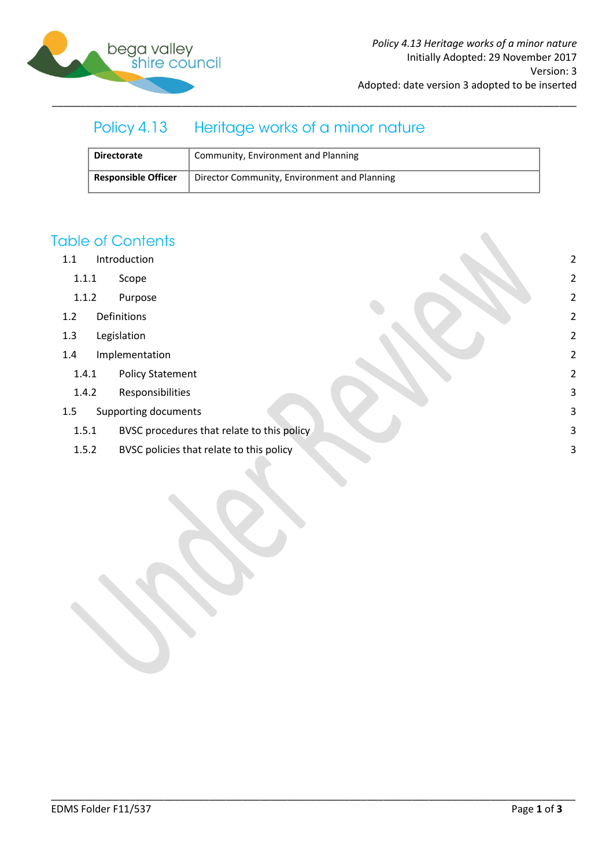

# Policy 4.13 Heritage works of a minor nature

| <b>Directorate</b>         | Community, Environment and Planning          |
|----------------------------|----------------------------------------------|
| <b>Responsible Officer</b> | Director Community, Environment and Planning |

\_\_\_\_\_\_\_\_\_\_\_\_\_\_\_\_\_\_\_\_\_\_\_\_\_\_\_\_\_\_\_\_\_\_\_\_\_\_\_\_\_\_\_\_\_\_\_\_\_\_\_\_\_\_\_\_\_\_\_\_\_\_\_\_\_\_\_\_\_\_\_\_\_\_\_\_\_\_\_\_\_\_\_\_\_\_\_\_\_\_\_\_\_

## **Table of Contents**

- 1.1 [Introduction](#page-1-0) 2
	- 1.1.1 [Scope](#page-1-1) 2
	- 1.1.2 [Purpose](#page-1-2) 2
- 1.2 [Definitions](#page-1-3) 2
- 1.3 [Legislation](#page-1-4) 2
- 1.4 [Implementation](#page-1-5) 2
	- 1.4.1 [Policy Statement](#page-1-6) 2
	- 1.4.2 [Responsibilities](#page-2-0) 3
- 1.5 [Supporting documents](#page-2-1) 3
	- 1.5.1 [BVSC procedures that](#page-2-2) relate to this policy 3
	- 1.5.2 [BVSC policies that relate to this policy](#page-2-3) 3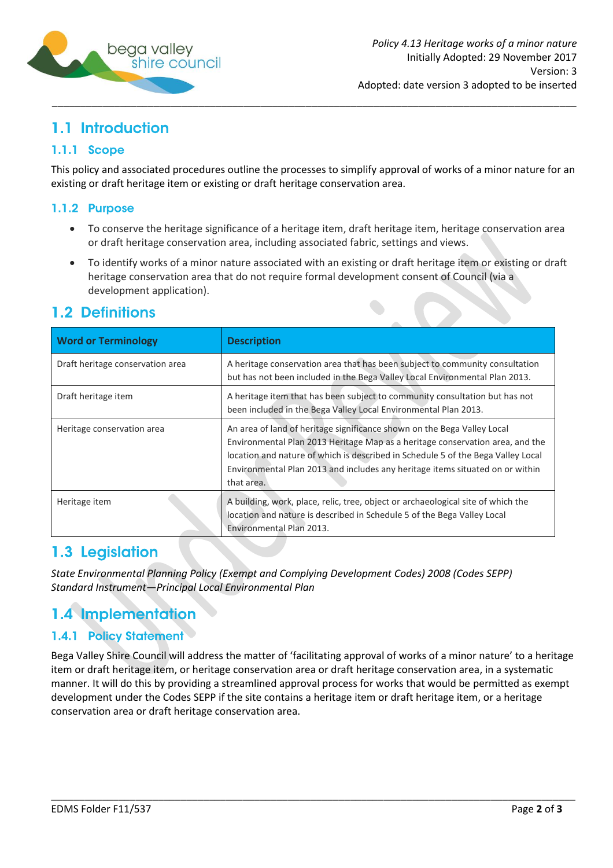

# <span id="page-1-0"></span>1.1 Introduction

## <span id="page-1-1"></span>1.1.1 Scope

This policy and associated procedures outline the processes to simplify approval of works of a minor nature for an existing or draft heritage item or existing or draft heritage conservation area.

## <span id="page-1-2"></span>1.1.2 Purpose

- To conserve the heritage significance of a heritage item, draft heritage item, heritage conservation area or draft heritage conservation area, including associated fabric, settings and views.
- To identify works of a minor nature associated with an existing or draft heritage item or existing or draft heritage conservation area that do not require formal development consent of Council (via a development application).

## <span id="page-1-3"></span>1.2 Definitions

| <b>Word or Terminology</b>       | <b>Description</b>                                                                                                                                                                                                                                                                                                                          |
|----------------------------------|---------------------------------------------------------------------------------------------------------------------------------------------------------------------------------------------------------------------------------------------------------------------------------------------------------------------------------------------|
| Draft heritage conservation area | A heritage conservation area that has been subject to community consultation<br>but has not been included in the Bega Valley Local Environmental Plan 2013.                                                                                                                                                                                 |
| Draft heritage item              | A heritage item that has been subject to community consultation but has not<br>been included in the Bega Valley Local Environmental Plan 2013.                                                                                                                                                                                              |
| Heritage conservation area       | An area of land of heritage significance shown on the Bega Valley Local<br>Environmental Plan 2013 Heritage Map as a heritage conservation area, and the<br>location and nature of which is described in Schedule 5 of the Bega Valley Local<br>Environmental Plan 2013 and includes any heritage items situated on or within<br>that area. |
| Heritage item                    | A building, work, place, relic, tree, object or archaeological site of which the<br>location and nature is described in Schedule 5 of the Bega Valley Local<br>Environmental Plan 2013.                                                                                                                                                     |

# <span id="page-1-4"></span>1.3 Legislation

*State Environmental Planning Policy (Exempt and Complying Development Codes) 2008 (Codes SEPP) Standard Instrument—Principal Local Environmental Plan*

# <span id="page-1-5"></span>1.4 Implementation

## <span id="page-1-6"></span>1.4.1 Policy Statement

Bega Valley Shire Council will address the matter of 'facilitating approval of works of a minor nature' to a heritage item or draft heritage item, or heritage conservation area or draft heritage conservation area, in a systematic manner. It will do this by providing a streamlined approval process for works that would be permitted as exempt development under the Codes SEPP if the site contains a heritage item or draft heritage item, or a heritage conservation area or draft heritage conservation area.

\_\_\_\_\_\_\_\_\_\_\_\_\_\_\_\_\_\_\_\_\_\_\_\_\_\_\_\_\_\_\_\_\_\_\_\_\_\_\_\_\_\_\_\_\_\_\_\_\_\_\_\_\_\_\_\_\_\_\_\_\_\_\_\_\_\_\_\_\_\_\_\_\_\_\_\_\_\_\_\_\_\_\_\_\_\_\_\_\_\_\_\_\_